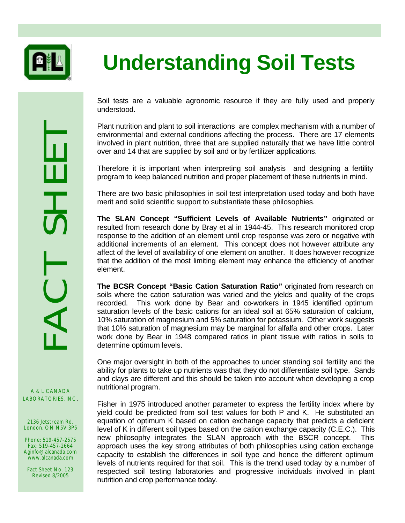

## **Understanding Soil Tests**

Soil tests are a valuable agronomic resource if they are fully used and properly understood.

Plant nutrition and plant to soil interactions are complex mechanism with a number of environmental and external conditions affecting the process. There are 17 elements involved in plant nutrition, three that are supplied naturally that we have little control over and 14 that are supplied by soil and or by fertilizer applications.

Therefore it is important when interpreting soil analysis and designing a fertility program to keep balanced nutrition and proper placement of these nutrients in mind.

There are two basic philosophies in soil test interpretation used today and both have merit and solid scientific support to substantiate these philosophies.

**The SLAN Concept "Sufficient Levels of Available Nutrients"** originated or resulted from research done by Bray et al in 1944-45. This research monitored crop response to the addition of an element until crop response was zero or negative with additional increments of an element. This concept does not however attribute any affect of the level of availability of one element on another. It does however recognize that the addition of the most limiting element may enhance the efficiency of another element.

**The BCSR Concept "Basic Cation Saturation Ratio"** originated from research on soils where the cation saturation was varied and the yields and quality of the crops recorded. This work done by Bear and co-workers in 1945 identified optimum saturation levels of the basic cations for an ideal soil at 65% saturation of calcium, 10% saturation of magnesium and 5% saturation for potassium. Other work suggests that 10% saturation of magnesium may be marginal for alfalfa and other crops. Later work done by Bear in 1948 compared ratios in plant tissue with ratios in soils to determine optimum levels.

One major oversight in both of the approaches to under standing soil fertility and the ability for plants to take up nutrients was that they do not differentiate soil type. Sands and clays are different and this should be taken into account when developing a crop nutritional program.

Fisher in 1975 introduced another parameter to express the fertility index where by yield could be predicted from soil test values for both P and K. He substituted an equation of optimum K based on cation exchange capacity that predicts a deficient level of K in different soil types based on the cation exchange capacity (C.E.C.). This new philosophy integrates the SLAN approach with the BSCR concept. This approach uses the key strong attributes of both philosophies using cation exchange capacity to establish the differences in soil type and hence the different optimum levels of nutrients required for that soil. This is the trend used today by a number of respected soil testing laboratories and progressive individuals involved in plant nutrition and crop performance today.

A & L CANADA

2136 Jetstream Rd. London, ON N5V 3P5

Phone: 519-457-2575 Fax: 519-457-2664 Aginfo@alcanada.com www.alcanada.com

Fact Sheet No. 123 Revised 8/2005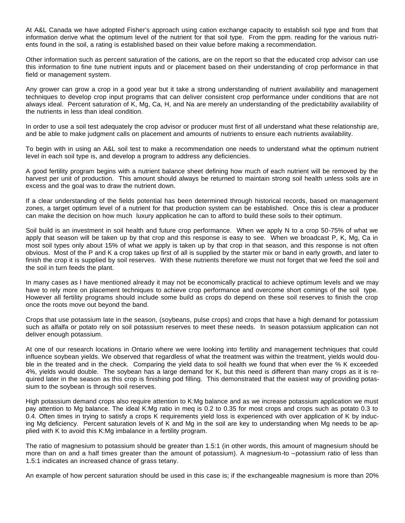At A&L Canada we have adopted Fisher's approach using cation exchange capacity to establish soil type and from that information derive what the optimum level of the nutrient for that soil type. From the ppm. reading for the various nutrients found in the soil, a rating is established based on their value before making a recommendation.

Other information such as percent saturation of the cations, are on the report so that the educated crop advisor can use this information to fine tune nutrient inputs and or placement based on their understanding of crop performance in that field or management system.

Any grower can grow a crop in a good year but it take a strong understanding of nutrient availability and management techniques to develop crop input programs that can deliver consistent crop performance under conditions that are not always ideal. Percent saturation of K, Mg, Ca, H, and Na are merely an understanding of the predictability availability of the nutrients in less than ideal condition.

In order to use a soil test adequately the crop advisor or producer must first of all understand what these relationship are, and be able to make judgment calls on placement and amounts of nutrients to ensure each nutrients availability.

To begin with in using an A&L soil test to make a recommendation one needs to understand what the optimum nutrient level in each soil type is, and develop a program to address any deficiencies.

A good fertility program begins with a nutrient balance sheet defining how much of each nutrient will be removed by the harvest per unit of production. This amount should always be returned to maintain strong soil health unless soils are in excess and the goal was to draw the nutrient down.

If a clear understanding of the fields potential has been determined through historical records, based on management zones, a target optimum level of a nutrient for that production system can be established. Once this is clear a producer can make the decision on how much luxury application he can to afford to build these soils to their optimum.

Soil build is an investment in soil health and future crop performance. When we apply N to a crop 50-75% of what we apply that season will be taken up by that crop and this response is easy to see. When we broadcast P, K, Mg, Ca in most soil types only about 15% of what we apply is taken up by that crop in that season, and this response is not often obvious. Most of the P and K a crop takes up first of all is supplied by the starter mix or band in early growth, and later to finish the crop it is supplied by soil reserves. With these nutrients therefore we must not forget that we feed the soil and the soil in turn feeds the plant.

In many cases as I have mentioned already it may not be economically practical to achieve optimum levels and we may have to rely more on placement techniques to achieve crop performance and overcome short comings of the soil type. However all fertility programs should include some build as crops do depend on these soil reserves to finish the crop once the roots move out beyond the band.

Crops that use potassium late in the season, (soybeans, pulse crops) and crops that have a high demand for potassium such as alfalfa or potato rely on soil potassium reserves to meet these needs. In season potassium application can not deliver enough potassium.

At one of our research locations in Ontario where we were looking into fertility and management techniques that could influence soybean yields. We observed that regardless of what the treatment was within the treatment, yields would double in the treated and in the check. Comparing the yield data to soil health we found that when ever the % K exceeded 4%, yields would double. The soybean has a large demand for K, but this need is different than many crops as it is required later in the season as this crop is finishing pod filling. This demonstrated that the easiest way of providing potassium to the soybean is through soil reserves.

High potassium demand crops also require attention to K:Mg balance and as we increase potassium application we must pay attention to Mg balance. The ideal K:Mg ratio in meq is 0.2 to 0.35 for most crops and crops such as potato 0.3 to 0.4. Often times in trying to satisfy a crops K requirements yield loss is experienced with over application of K by inducing Mg deficiency. Percent saturation levels of K and Mg in the soil are key to understanding when Mg needs to be applied with K to avoid this K:Mg imbalance in a fertility program.

The ratio of magnesium to potassium should be greater than 1.5:1 (in other words, this amount of magnesium should be more than on and a half times greater than the amount of potassium). A magnesium-to –potassium ratio of less than 1.5:1 indicates an increased chance of grass tetany.

An example of how percent saturation should be used in this case is; if the exchangeable magnesium is more than 20%